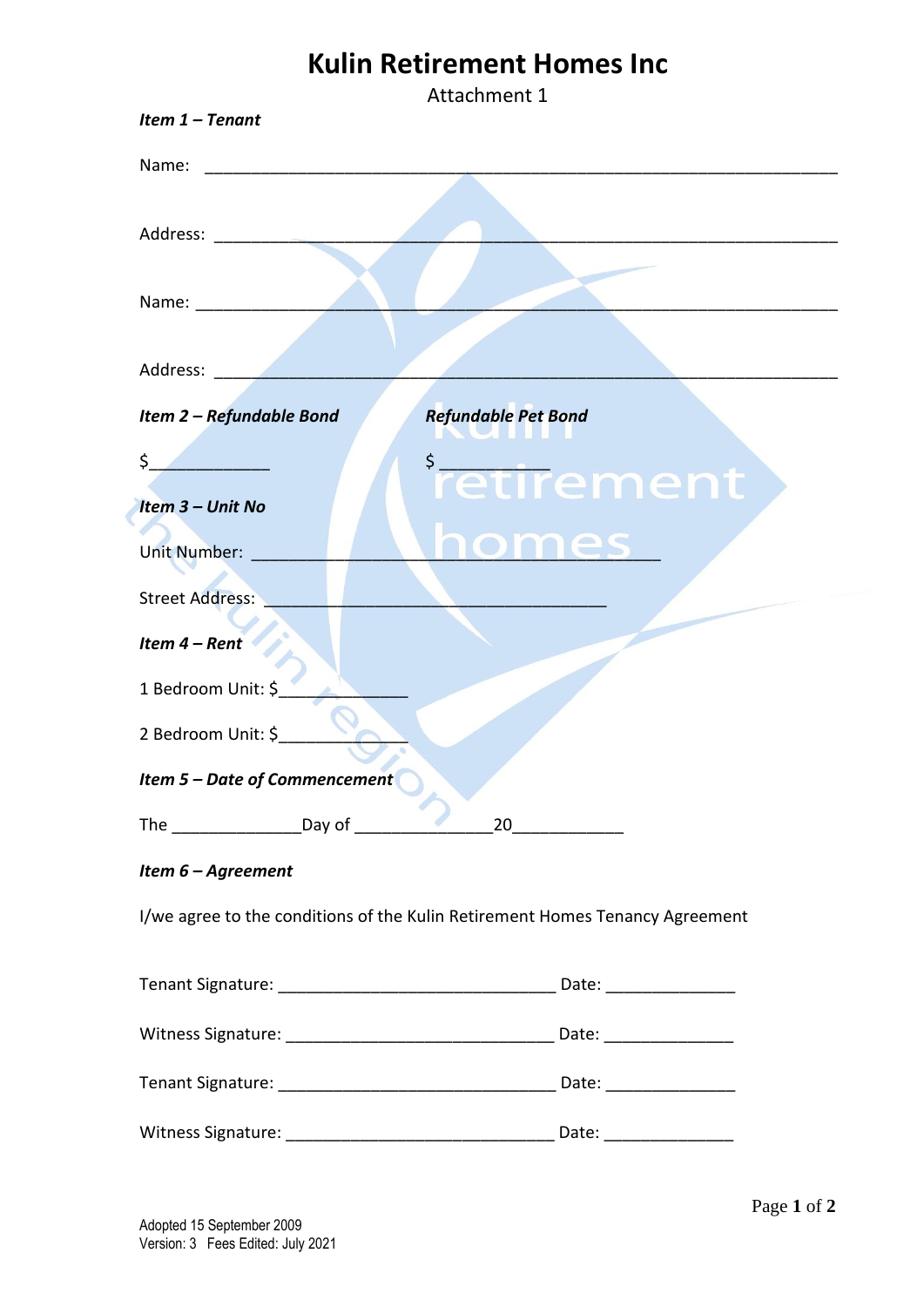# **Kulin Retirement Homes Inc**

|                                                                                                                                                                                                                               | Attachment 1                                                                 |
|-------------------------------------------------------------------------------------------------------------------------------------------------------------------------------------------------------------------------------|------------------------------------------------------------------------------|
| Item $1$ – Tenant                                                                                                                                                                                                             |                                                                              |
| Name:<br><u> 1989 - Johann Barbara, martin da basar a shekara 1989 - An tsara 1989 - An tsara 1989 - An tsara 1989 - An tsa</u>                                                                                               |                                                                              |
| Address: and the set of the set of the set of the set of the set of the set of the set of the set of the set of the set of the set of the set of the set of the set of the set of the set of the set of the set of the set of |                                                                              |
|                                                                                                                                                                                                                               |                                                                              |
| Address: Andreas Address:                                                                                                                                                                                                     |                                                                              |
| Item 2 - Refundable Bond                                                                                                                                                                                                      | <b>Refundable Pet Bond</b>                                                   |
| \$<br>Item 3 - Unit No                                                                                                                                                                                                        | <i>i</i> retirement                                                          |
| <b>Unit Number:</b>                                                                                                                                                                                                           | mes                                                                          |
| <b>Street Address:</b>                                                                                                                                                                                                        |                                                                              |
| Item 4 - Rent                                                                                                                                                                                                                 |                                                                              |
| 1 Bedroom Unit: \$                                                                                                                                                                                                            |                                                                              |
| 2 Bedroom Unit: \$                                                                                                                                                                                                            |                                                                              |
| <b>Item 5 – Date of Commencement</b>                                                                                                                                                                                          |                                                                              |
| The ____________________________Day of _____________                                                                                                                                                                          | $20$                                                                         |
| Item 6 - Agreement                                                                                                                                                                                                            |                                                                              |
|                                                                                                                                                                                                                               | I/we agree to the conditions of the Kulin Retirement Homes Tenancy Agreement |
|                                                                                                                                                                                                                               |                                                                              |
|                                                                                                                                                                                                                               |                                                                              |
|                                                                                                                                                                                                                               |                                                                              |
|                                                                                                                                                                                                                               |                                                                              |